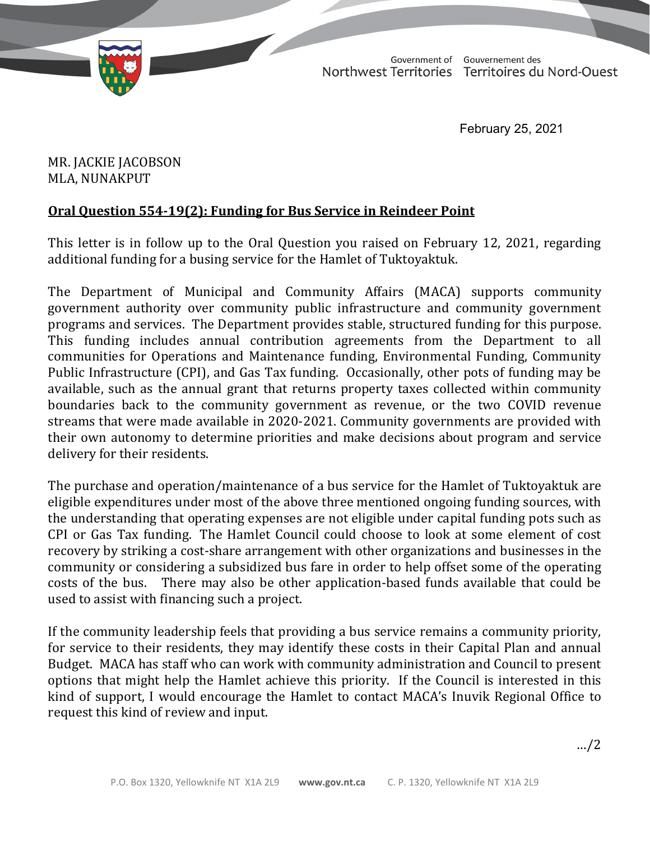

TD 326-19(2) TABLED ON FEBRUARY 26, 2021Government of Gouvernement des Northwest Territories Territoires du Nord-Ouest

February 25, 2021

MR. JACKIE JACOBSON MLA, NUNAKPUT

## **Oral Question 554‐19(2): Funding for Bus Service in Reindeer Point**

This letter is in follow up to the Oral Question you raised on February 12, 2021, regarding additional funding for a busing service for the Hamlet of Tuktoyaktuk.

The Department of Municipal and Community Affairs (MACA) supports community government authority over community public infrastructure and community government programs and services. The Department provides stable, structured funding for this purpose. This funding includes annual contribution agreements from the Department to all communities for Operations and Maintenance funding, Environmental Funding, Community Public Infrastructure (CPI), and Gas Tax funding. Occasionally, other pots of funding may be available, such as the annual grant that returns property taxes collected within community boundaries back to the community government as revenue, or the two COVID revenue streams that were made available in 2020-2021. Community governments are provided with their own autonomy to determine priorities and make decisions about program and service delivery for their residents.

The purchase and operation/maintenance of a bus service for the Hamlet of Tuktoyaktuk are eligible expenditures under most of the above three mentioned ongoing funding sources, with the understanding that operating expenses are not eligible under capital funding pots such as CPI or Gas Tax funding. The Hamlet Council could choose to look at some element of cost recovery by striking a cost-share arrangement with other organizations and businesses in the community or considering a subsidized bus fare in order to help offset some of the operating There may also be other application-based funds available that could be used to assist with financing such a project.

If the community leadership feels that providing a bus service remains a community priority, for service to their residents, they may identify these costs in their Capital Plan and annual Budget. MACA has staff who can work with community administration and Council to present options that might help the Hamlet achieve this priority. If the Council is interested in this kind of support, I would encourage the Hamlet to contact MACA's Inuvik Regional Office to request this kind of review and input.

…/2